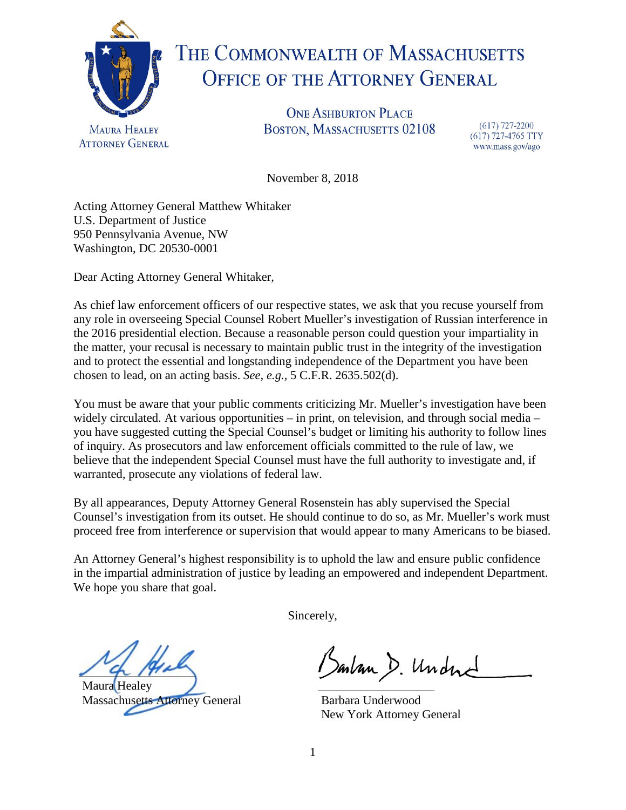

## THE COMMONWEALTH OF MASSACHUSETTS **OFFICE OF THE ATTORNEY GENERAL**

**ONE ASHBURTON PLACE** BOSTON, MASSACHUSETTS 02108

 $(617)$  727-2200 (617) 727-4765 TTY www.mass.gov/ago

November 8, 2018

Acting Attorney General Matthew Whitaker U.S. Department of Justice 950 Pennsylvania Avenue, NW Washington, DC 20530-0001

Dear Acting Attorney General Whitaker,

As chief law enforcement officers of our respective states, we ask that you recuse yourself from any role in overseeing Special Counsel Robert Mueller's investigation of Russian interference in the 2016 presidential election. Because a reasonable person could question your impartiality in the matter, your recusal is necessary to maintain public trust in the integrity of the investigation and to protect the essential and longstanding independence of the Department you have been chosen to lead, on an acting basis. *See, e.g.,* 5 C.F.R. 2635.502(d).

You must be aware that your public comments criticizing Mr. Mueller's investigation have been widely circulated. At various opportunities – in print, on television, and through social media – you have suggested cutting the Special Counsel's budget or limiting his authority to follow lines of inquiry. As prosecutors and law enforcement officials committed to the rule of law, we believe that the independent Special Counsel must have the full authority to investigate and, if warranted, prosecute any violations of federal law.

By all appearances, Deputy Attorney General Rosenstein has ably supervised the Special Counsel's investigation from its outset. He should continue to do so, as Mr. Mueller's work must proceed free from interference or supervision that would appear to many Americans to be biased.

An Attorney General's highest responsibility is to uphold the law and ensure public confidence in the impartial administration of justice by leading an empowered and independent Department. We hope you share that goal.

Sincerely,

 $24192$ 

Maura Healey Massachusetts Attorney General

Bankan D. Undne

Barbara Underwood New York Attorney General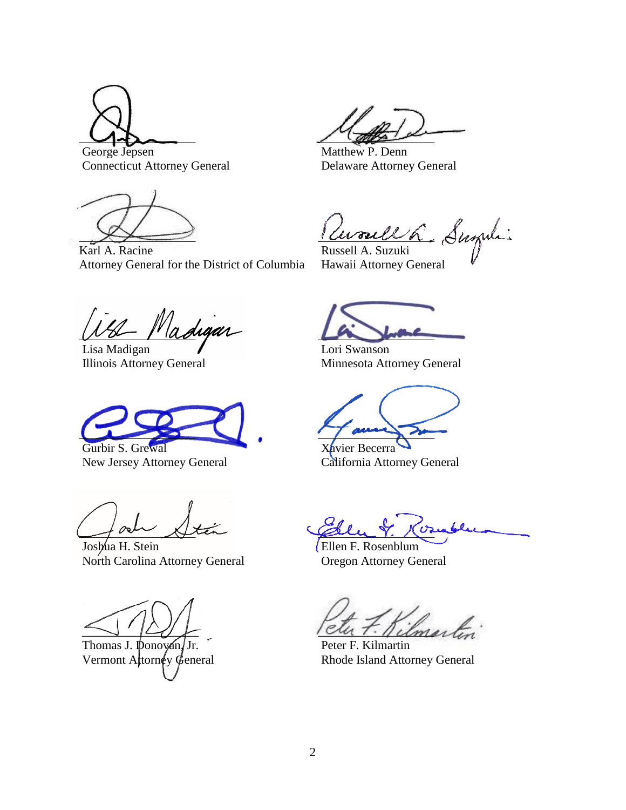$\bigcup$ George Jepsen

Connecticut Attorney General

 $\rightarrow$ 

Karl A. Racine Attorney General for the District of Columbia

 $\sqrt{2\pi\beta^2}$ 

Matthew P. Denn Delaware Attorney General

 $\iota$  avouell a

Russell A. Suzuki Hawaii Attorney General

Madigar

Lisa Madigan Illinois Attorney General

 $\overline{\phantom{a}}$ 

Gurbir S. Grewal New Jersey Attorney General

 $\rightarrow$ 

Joshua H. Stein North Carolina Attorney General

 $\sim$ 

Thomas J. Donovan/Jr. Vermont Attorney General

 $L$ 

Lori Swanson Minnesota Attorney General

 $\overline{\phantom{a}}$ 

Xavier Becerra California Attorney General

 $\mathscr{Q}_{\mathcal{L}}$  ,  $\gamma$ ,  $\gamma$ 

Ellen F. Rosenblum Oregon Attorney General

Imartin<sup>.</sup>

Peter F. Kilmartin Rhode Island Attorney General